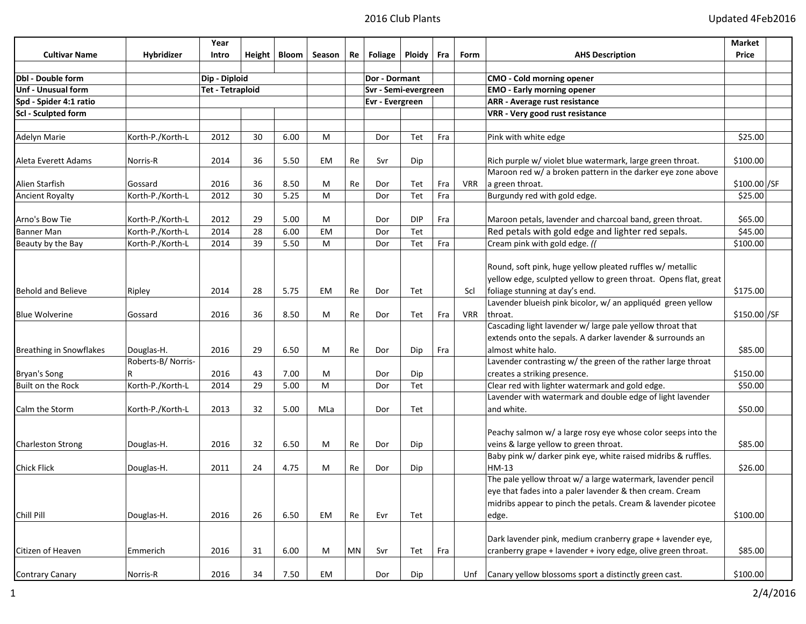|                                |                   | Year                    |    |                |           |                      |                 |            |     |                                   |                                                                 | <b>Market</b> |  |
|--------------------------------|-------------------|-------------------------|----|----------------|-----------|----------------------|-----------------|------------|-----|-----------------------------------|-----------------------------------------------------------------|---------------|--|
| <b>Cultivar Name</b>           | Hybridizer        | Intro                   |    | Height   Bloom | Season    | Re                   | <b>Foliage</b>  | Ploidy     | Fra | Form                              | <b>AHS Description</b>                                          | Price         |  |
|                                |                   |                         |    |                |           |                      |                 |            |     |                                   |                                                                 |               |  |
| <b>Dbl</b> - Double form       |                   | Dip - Diploid           |    |                |           | Dor - Dormant        |                 |            |     | <b>CMO</b> - Cold morning opener  |                                                                 |               |  |
| Unf - Unusual form             |                   | <b>Tet - Tetraploid</b> |    |                |           | Svr - Semi-evergreen |                 |            |     | <b>EMO - Early morning opener</b> |                                                                 |               |  |
| Spd - Spider 4:1 ratio         |                   |                         |    |                |           |                      | Evr - Evergreen |            |     |                                   | <b>ARR - Average rust resistance</b>                            |               |  |
| Scl - Sculpted form            |                   |                         |    |                |           |                      |                 |            |     |                                   | VRR - Very good rust resistance                                 |               |  |
|                                |                   |                         |    |                |           |                      |                 |            |     |                                   |                                                                 |               |  |
| Adelyn Marie                   | Korth-P./Korth-L  | 2012                    | 30 | 6.00           | М         |                      | Dor             | Tet        | Fra |                                   | Pink with white edge                                            | \$25.00       |  |
| Aleta Everett Adams            | Norris-R          | 2014                    | 36 | 5.50           | EM        | Re                   | Svr             | Dip        |     |                                   | Rich purple w/ violet blue watermark, large green throat.       | \$100.00      |  |
|                                |                   |                         |    |                |           |                      |                 |            |     |                                   | Maroon red w/ a broken pattern in the darker eye zone above     |               |  |
| Alien Starfish                 | Gossard           | 2016                    | 36 | 8.50           | М         | Re                   | Dor             | Tet        | Fra | VRR                               | a green throat.                                                 | $$100.00$ /SF |  |
| <b>Ancient Royalty</b>         | Korth-P./Korth-L  | 2012                    | 30 | 5.25           | M         |                      | Dor             | Tet        | Fra |                                   | Burgundy red with gold edge.                                    | \$25.00       |  |
| Arno's Bow Tie                 | Korth-P./Korth-L  | 2012                    | 29 | 5.00           | М         |                      | Dor             | <b>DIP</b> | Fra |                                   | Maroon petals, lavender and charcoal band, green throat.        | \$65.00       |  |
| <b>Banner Man</b>              | Korth-P./Korth-L  | 2014                    | 28 | 6.00           | <b>EM</b> |                      | Dor             | Tet        |     |                                   | Red petals with gold edge and lighter red sepals.               | \$45.00       |  |
| Beauty by the Bay              | Korth-P./Korth-L  | 2014                    | 39 | 5.50           | M         |                      | Dor             | Tet        | Fra |                                   | Cream pink with gold edge. (                                    | \$100.00      |  |
|                                |                   |                         |    |                |           |                      |                 |            |     |                                   | Round, soft pink, huge yellow pleated ruffles w/ metallic       |               |  |
|                                |                   |                         |    |                |           |                      |                 |            |     |                                   | yellow edge, sculpted yellow to green throat. Opens flat, great |               |  |
| <b>Behold and Believe</b>      | Ripley            | 2014                    | 28 | 5.75           | EМ        | Re                   | Dor             | Tet        |     | Scl                               | foliage stunning at day's end.                                  | \$175.00      |  |
|                                |                   |                         |    |                |           |                      |                 |            |     |                                   | Lavender blueish pink bicolor, w/ an appliquéd green yellow     |               |  |
| <b>Blue Wolverine</b>          | Gossard           | 2016                    | 36 | 8.50           | M         | Re                   | Dor             | Tet        | Fra | <b>VRR</b>                        | throat.                                                         | \$150.00 / SF |  |
|                                |                   |                         |    |                |           |                      |                 |            |     |                                   | Cascading light lavender w/ large pale yellow throat that       |               |  |
|                                |                   |                         |    |                |           |                      |                 |            |     |                                   | extends onto the sepals. A darker lavender & surrounds an       |               |  |
| <b>Breathing in Snowflakes</b> | Douglas-H.        | 2016                    | 29 | 6.50           | м         | Re                   | Dor             | Dip        | Fra |                                   | almost white halo.                                              | \$85.00       |  |
|                                | Roberts-B/Norris- |                         |    |                |           |                      |                 |            |     |                                   | Lavender contrasting w/ the green of the rather large throat    |               |  |
| Bryan's Song                   |                   | 2016                    | 43 | 7.00           | М         |                      | Dor             | Dip        |     |                                   | creates a striking presence.                                    | \$150.00      |  |
| <b>Built on the Rock</b>       | Korth-P./Korth-L  | 2014                    | 29 | 5.00           | M         |                      | Dor             | Tet        |     |                                   | Clear red with lighter watermark and gold edge.                 | \$50.00       |  |
|                                |                   |                         |    |                |           |                      |                 |            |     |                                   | Lavender with watermark and double edge of light lavender       |               |  |
| Calm the Storm                 | Korth-P./Korth-L  | 2013                    | 32 | 5.00           | MLa       |                      | Dor             | Tet        |     |                                   | and white.                                                      | \$50.00       |  |
|                                |                   |                         |    |                |           |                      |                 |            |     |                                   |                                                                 |               |  |
|                                |                   |                         |    |                |           |                      |                 |            |     |                                   | Peachy salmon w/ a large rosy eye whose color seeps into the    |               |  |
| <b>Charleston Strong</b>       | Douglas-H.        | 2016                    | 32 | 6.50           | м         | Re                   | Dor             | Dip        |     |                                   | veins & large yellow to green throat.                           | \$85.00       |  |
|                                |                   |                         |    |                |           |                      |                 |            |     |                                   | Baby pink w/ darker pink eye, white raised midribs & ruffles.   |               |  |
| <b>Chick Flick</b>             | Douglas-H.        | 2011                    | 24 | 4.75           | м         | Re                   | Dor             | Dip        |     |                                   | HM-13                                                           | \$26.00       |  |
|                                |                   |                         |    |                |           |                      |                 |            |     |                                   | The pale yellow throat w/ a large watermark, lavender pencil    |               |  |
|                                |                   |                         |    |                |           |                      |                 |            |     |                                   | eye that fades into a paler lavender & then cream. Cream        |               |  |
|                                |                   |                         |    |                |           |                      |                 |            |     |                                   | midribs appear to pinch the petals. Cream & lavender picotee    |               |  |
| Chill Pill                     | Douglas-H.        | 2016                    | 26 | 6.50           | EM        | Re                   | Evr             | Tet        |     |                                   | edge.                                                           | \$100.00      |  |
|                                |                   |                         |    |                |           |                      |                 |            |     |                                   |                                                                 |               |  |
|                                |                   |                         |    |                |           |                      |                 |            |     |                                   | Dark lavender pink, medium cranberry grape + lavender eye,      |               |  |
| Citizen of Heaven              | Emmerich          | 2016                    | 31 | 6.00           | M         | MN                   | Svr             | Tet        | Fra |                                   | cranberry grape + lavender + ivory edge, olive green throat.    | \$85.00       |  |
|                                |                   |                         |    |                |           |                      |                 |            |     |                                   |                                                                 |               |  |
| <b>Contrary Canary</b>         | Norris-R          | 2016                    | 34 | 7.50           | EM        |                      | Dor             | Dip        |     | Unf                               | Canary yellow blossoms sport a distinctly green cast.           | \$100.00      |  |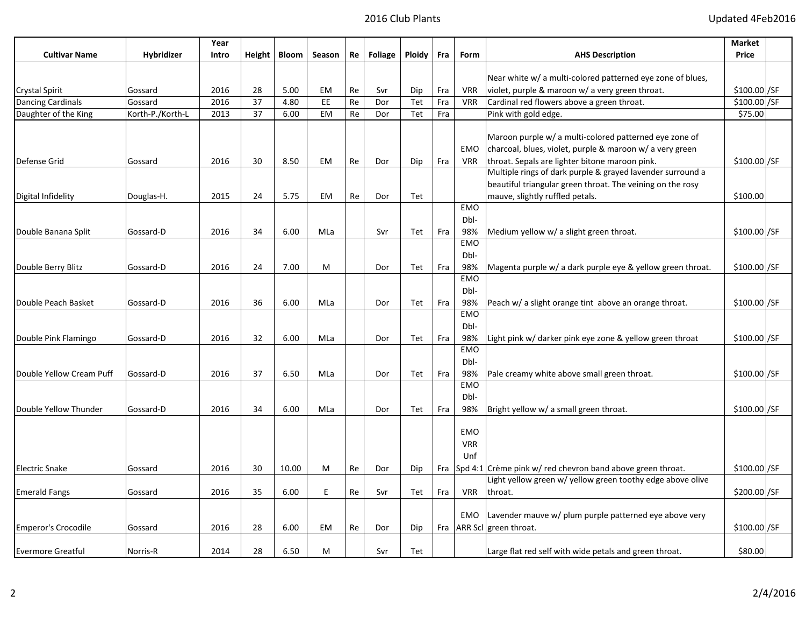|                            |                   | Year  |               |              |           |    |                |               |     |             |                                                            | <b>Market</b> |  |
|----------------------------|-------------------|-------|---------------|--------------|-----------|----|----------------|---------------|-----|-------------|------------------------------------------------------------|---------------|--|
| <b>Cultivar Name</b>       | <b>Hybridizer</b> | Intro | <b>Height</b> | <b>Bloom</b> | Season    | Re | <b>Foliage</b> | <b>Ploidy</b> | Fra | <b>Form</b> | <b>AHS Description</b>                                     | Price         |  |
|                            |                   |       |               |              |           |    |                |               |     |             | Near white w/ a multi-colored patterned eye zone of blues, |               |  |
| Crystal Spirit             | Gossard           | 2016  | 28            | 5.00         | EМ        | Re | Svr            | Dip           | Fra | <b>VRR</b>  | violet, purple & maroon w/ a very green throat.            | \$100.00 / SF |  |
| Dancing Cardinals          | Gossard           | 2016  | 37            | 4.80         | EE        | Re | Dor            | Tet           | Fra | <b>VRR</b>  | Cardinal red flowers above a green throat.                 | $$100.00$ /SF |  |
| Daughter of the King       | Korth-P./Korth-L  | 2013  | 37            | 6.00         | <b>EM</b> | Re | Dor            | Tet           | Fra |             | Pink with gold edge.                                       | \$75.00       |  |
|                            |                   |       |               |              |           |    |                |               |     |             |                                                            |               |  |
|                            |                   |       |               |              |           |    |                |               |     |             | Maroon purple w/ a multi-colored patterned eye zone of     |               |  |
|                            |                   |       |               |              |           |    |                |               |     | <b>EMO</b>  | charcoal, blues, violet, purple & maroon w/ a very green   |               |  |
| Defense Grid               | Gossard           | 2016  | 30            | 8.50         | EМ        | Re | Dor            | Dip           | Fra | <b>VRR</b>  | throat. Sepals are lighter bitone maroon pink.             | \$100.00]/SF  |  |
|                            |                   |       |               |              |           |    |                |               |     |             | Multiple rings of dark purple & grayed lavender surround a |               |  |
|                            |                   |       |               |              |           |    |                |               |     |             | beautiful triangular green throat. The veining on the rosy |               |  |
| Digital Infidelity         | Douglas-H.        | 2015  | 24            | 5.75         | EM        | Re | Dor            | Tet           |     |             | mauve, slightly ruffled petals.                            | \$100.00      |  |
|                            |                   |       |               |              |           |    |                |               |     | <b>EMO</b>  |                                                            |               |  |
|                            |                   |       |               |              |           |    |                |               |     | Dbl-        |                                                            |               |  |
| Double Banana Split        | Gossard-D         | 2016  | 34            | 6.00         | MLa       |    | Svr            | Tet           | Fra | 98%         | Medium yellow w/ a slight green throat.                    | \$100.00 SF   |  |
|                            |                   |       |               |              |           |    |                |               |     | <b>EMO</b>  |                                                            |               |  |
|                            |                   |       |               |              |           |    |                |               |     | Dbl-        |                                                            |               |  |
| Double Berry Blitz         | Gossard-D         | 2016  | 24            | 7.00         | M         |    | Dor            | Tet           | Fra | 98%         | Magenta purple w/ a dark purple eye & yellow green throat. | $$100.00$ /SF |  |
|                            |                   |       |               |              |           |    |                |               |     | <b>EMO</b>  |                                                            |               |  |
|                            |                   |       |               |              |           |    |                |               |     | Dbl-        |                                                            |               |  |
| Double Peach Basket        | Gossard-D         | 2016  | 36            | 6.00         | MLa       |    | Dor            | Tet           | Fra | 98%         | Peach w/ a slight orange tint above an orange throat.      | \$100.00 / SF |  |
|                            |                   |       |               |              |           |    |                |               |     | <b>EMO</b>  |                                                            |               |  |
|                            |                   |       |               |              |           |    |                |               |     | Dbl-        |                                                            |               |  |
| Double Pink Flamingo       | Gossard-D         | 2016  | 32            | 6.00         | MLa       |    | Dor            | Tet           | Fra | 98%         | Light pink w/darker pink eye zone & yellow green throat    | \$100.00 SF   |  |
|                            |                   |       |               |              |           |    |                |               |     | <b>EMO</b>  |                                                            |               |  |
|                            |                   |       |               |              |           |    |                |               |     | Dbl-        |                                                            |               |  |
| Double Yellow Cream Puff   | Gossard-D         | 2016  | 37            | 6.50         | MLa       |    | Dor            | Tet           | Fra | 98%         | Pale creamy white above small green throat.                | $$100.00$ /SF |  |
|                            |                   |       |               |              |           |    |                |               |     | <b>EMO</b>  |                                                            |               |  |
|                            |                   |       |               |              |           |    |                |               |     | Dbl-        |                                                            |               |  |
| Double Yellow Thunder      | Gossard-D         | 2016  | 34            | 6.00         | MLa       |    | Dor            | Tet           | Fra | 98%         | Bright yellow w/ a small green throat.                     | \$100.00 / SF |  |
|                            |                   |       |               |              |           |    |                |               |     |             |                                                            |               |  |
|                            |                   |       |               |              |           |    |                |               |     | <b>EMO</b>  |                                                            |               |  |
|                            |                   |       |               |              |           |    |                |               |     | <b>VRR</b>  |                                                            |               |  |
|                            |                   |       |               |              |           |    |                |               |     | Unf         |                                                            |               |  |
| <b>Electric Snake</b>      | Gossard           | 2016  | 30            | 10.00        | м         | Re | Dor            | Dip           | Fra |             | Spd 4:1 Crème pink w/ red chevron band above green throat. | \$100.00 / SF |  |
|                            |                   |       |               |              |           |    |                |               |     |             | Light yellow green w/ yellow green toothy edge above olive |               |  |
| <b>Emerald Fangs</b>       | Gossard           | 2016  | 35            | 6.00         | E.        | Re | Svr            | Tet           | Fra | <b>VRR</b>  | throat.                                                    | \$200.00 / SF |  |
|                            |                   |       |               |              |           |    |                |               |     |             |                                                            |               |  |
|                            |                   |       |               |              |           |    |                |               |     | <b>EMO</b>  | Lavender mauve w/ plum purple patterned eye above very     |               |  |
| <b>Emperor's Crocodile</b> | Gossard           | 2016  | 28            | 6.00         | EМ        | Re | Dor            | Dip           |     |             | Fra   ARR Scl   green throat.                              | \$100.00]/SF  |  |
|                            |                   |       |               |              |           |    |                |               |     |             |                                                            |               |  |
| <b>Evermore Greatful</b>   | Norris-R          | 2014  | 28            | 6.50         | м         |    | Svr            | Tet           |     |             | Large flat red self with wide petals and green throat.     | \$80.00       |  |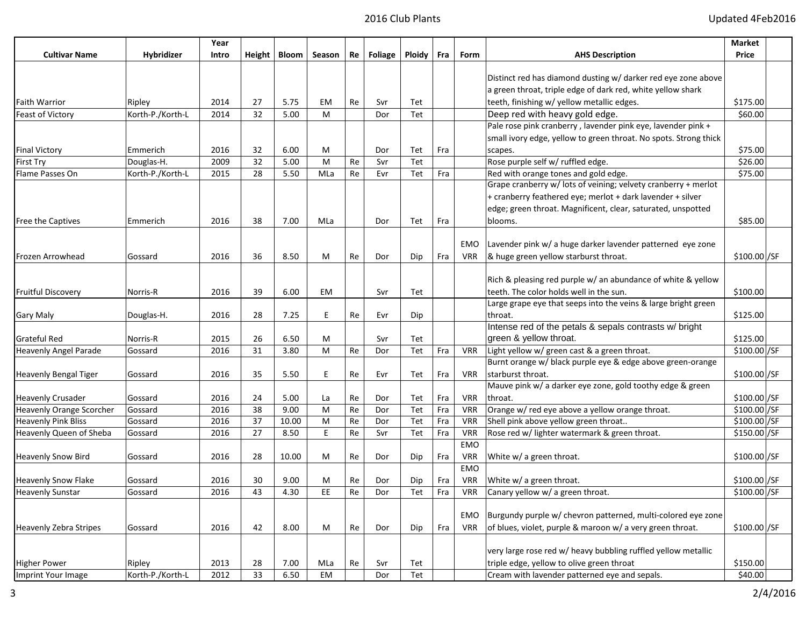|                              |                  | Year  |    |                      |        |    |         |        |     |            |                                                                  | Market        |  |
|------------------------------|------------------|-------|----|----------------------|--------|----|---------|--------|-----|------------|------------------------------------------------------------------|---------------|--|
| <b>Cultivar Name</b>         | Hybridizer       | Intro |    | Height $\vert$ Bloom | Season | Re | Foliage | Ploidy | Fra | Form       | <b>AHS Description</b>                                           | Price         |  |
|                              |                  |       |    |                      |        |    |         |        |     |            |                                                                  |               |  |
|                              |                  |       |    |                      |        |    |         |        |     |            | Distinct red has diamond dusting w/ darker red eye zone above    |               |  |
|                              |                  |       |    |                      |        |    |         |        |     |            | a green throat, triple edge of dark red, white yellow shark      |               |  |
| <b>Faith Warrior</b>         | Ripley           | 2014  | 27 | 5.75                 | EM     | Re | Svr     | Tet    |     |            | teeth, finishing w/ yellow metallic edges.                       | \$175.00      |  |
| <b>Feast of Victory</b>      | Korth-P./Korth-L | 2014  | 32 | 5.00                 | M      |    | Dor     | Tet    |     |            | Deep red with heavy gold edge.                                   | \$60.00       |  |
|                              |                  |       |    |                      |        |    |         |        |     |            | Pale rose pink cranberry, lavender pink eye, lavender pink +     |               |  |
|                              |                  |       |    |                      |        |    |         |        |     |            | small ivory edge, yellow to green throat. No spots. Strong thick |               |  |
| <b>Final Victory</b>         | Emmerich         | 2016  | 32 | 6.00                 | М      |    | Dor     | Tet    | Fra |            | scapes.                                                          | \$75.00       |  |
| First Try                    | Douglas-H.       | 2009  | 32 | 5.00                 | M      | Re | Svr     | Tet    |     |            | Rose purple self w/ ruffled edge.                                | \$26.00       |  |
| Flame Passes On              | Korth-P./Korth-L | 2015  | 28 | 5.50                 | MLa    | Re | Evr     | Tet    | Fra |            | Red with orange tones and gold edge.                             | \$75.00       |  |
|                              |                  |       |    |                      |        |    |         |        |     |            | Grape cranberry w/ lots of veining; velvety cranberry + merlot   |               |  |
|                              |                  |       |    |                      |        |    |         |        |     |            | + cranberry feathered eye; merlot + dark lavender + silver       |               |  |
|                              |                  |       |    |                      |        |    |         |        |     |            | edge; green throat. Magnificent, clear, saturated, unspotted     |               |  |
| <b>Free the Captives</b>     | Emmerich         | 2016  | 38 | 7.00                 | MLa    |    | Dor     | Tet    | Fra |            | blooms.                                                          | \$85.00       |  |
|                              |                  |       |    |                      |        |    |         |        |     |            |                                                                  |               |  |
|                              |                  |       |    |                      |        |    |         |        |     | EMO        | Lavender pink w/ a huge darker lavender patterned eye zone       |               |  |
| Frozen Arrowhead             | Gossard          | 2016  | 36 | 8.50                 | М      | Re | Dor     | Dip    | Fra | <b>VRR</b> | & huge green yellow starburst throat.                            | \$100.00]/SF  |  |
|                              |                  |       |    |                      |        |    |         |        |     |            |                                                                  |               |  |
|                              |                  |       |    |                      |        |    |         |        |     |            | Rich & pleasing red purple w/ an abundance of white & yellow     |               |  |
| <b>Fruitful Discovery</b>    | Norris-R         | 2016  | 39 | 6.00                 | EM     |    | Svr     | Tet    |     |            | teeth. The color holds well in the sun.                          | \$100.00      |  |
|                              |                  |       |    |                      |        |    |         |        |     |            | Large grape eye that seeps into the veins & large bright green   |               |  |
| Gary Maly                    | Douglas-H.       | 2016  | 28 | 7.25                 | E.     | Re | Evr     | Dip    |     |            | lthroat.                                                         | \$125.00      |  |
|                              |                  |       |    |                      |        |    |         |        |     |            | Intense red of the petals & sepals contrasts w/ bright           |               |  |
| Grateful Red                 | Norris-R         | 2015  | 26 | 6.50                 | M      |    | Svr     | Tet    |     |            | green & yellow throat.                                           | \$125.00      |  |
| <b>Heavenly Angel Parade</b> | Gossard          | 2016  | 31 | 3.80                 | M      | Re | Dor     | Tet    | Fra | <b>VRR</b> | Light yellow w/ green cast & a green throat.                     | \$100.00 / SF |  |
|                              |                  |       |    |                      |        |    |         |        |     |            | Burnt orange w/ black purple eye & edge above green-orange       |               |  |
| <b>Heavenly Bengal Tiger</b> | Gossard          | 2016  | 35 | 5.50                 | E.     | Re | Evr     | Tet    | Fra | <b>VRR</b> | starburst throat.                                                | \$100.00]/SF  |  |
|                              |                  |       |    |                      |        |    |         |        |     |            | Mauve pink w/ a darker eye zone, gold toothy edge & green        |               |  |
| <b>Heavenly Crusader</b>     | Gossard          | 2016  | 24 | 5.00                 | La     | Re | Dor     | Tet    | Fra | VRR        | throat.                                                          | \$100.00 / SF |  |
| Heavenly Orange Scorcher     | Gossard          | 2016  | 38 | 9.00                 | м      | Re | Dor     | Tet    | Fra | <b>VRR</b> | Orange w/ red eye above a yellow orange throat.                  | \$100.00 / SF |  |
| <b>Heavenly Pink Bliss</b>   | Gossard          | 2016  | 37 | 10.00                | M      | Re | Dor     | Tet    | Fra | <b>VRR</b> | Shell pink above yellow green throat                             | \$100.00 / SF |  |
| Heavenly Queen of Sheba      |                  | 2016  | 27 | 8.50                 | E.     | Re |         | Tet    | Fra | <b>VRR</b> | Rose red w/ lighter watermark & green throat.                    | \$150.00 / SF |  |
|                              | Gossard          |       |    |                      |        |    | Svr     |        |     | <b>EMO</b> |                                                                  |               |  |
|                              |                  |       |    |                      |        |    |         |        |     |            |                                                                  |               |  |
| <b>Heavenly Snow Bird</b>    | Gossard          | 2016  | 28 | 10.00                | М      | Re | Dor     | Dip    | Fra | <b>VRR</b> | White w/ a green throat.                                         | \$100.00 / SF |  |
|                              |                  |       |    |                      |        |    |         |        |     | <b>EMO</b> |                                                                  |               |  |
| <b>Heavenly Snow Flake</b>   | Gossard          | 2016  | 30 | 9.00                 | м      | Re | Dor     | Dip    | Fra | VRR        | White w/ a green throat.                                         | \$100.00]/SF  |  |
| <b>Heavenly Sunstar</b>      | Gossard          | 2016  | 43 | 4.30                 | EE     | Re | Dor     | Tet    | Fra | <b>VRR</b> | Canary yellow w/ a green throat.                                 | \$100.00]/SF  |  |
|                              |                  |       |    |                      |        |    |         |        |     |            |                                                                  |               |  |
|                              |                  |       |    |                      |        |    |         |        |     | EMO        | Burgundy purple w/ chevron patterned, multi-colored eye zone     |               |  |
| Heavenly Zebra Stripes       | Gossard          | 2016  | 42 | 8.00                 | M      | Re | Dor     | Dip    | Fra | <b>VRR</b> | of blues, violet, purple & maroon w/ a very green throat.        | $$100.00$ /SF |  |
|                              |                  |       |    |                      |        |    |         |        |     |            |                                                                  |               |  |
|                              |                  |       |    |                      |        |    |         |        |     |            | very large rose red w/ heavy bubbling ruffled yellow metallic    |               |  |
| <b>Higher Power</b>          | Ripley           | 2013  | 28 | 7.00                 | MLa    | Re | Svr     | Tet    |     |            | triple edge, yellow to olive green throat                        | \$150.00      |  |
| Imprint Your Image           | Korth-P./Korth-L | 2012  | 33 | 6.50                 | EM     |    | Dor     | Tet    |     |            | Cream with lavender patterned eye and sepals.                    | \$40.00       |  |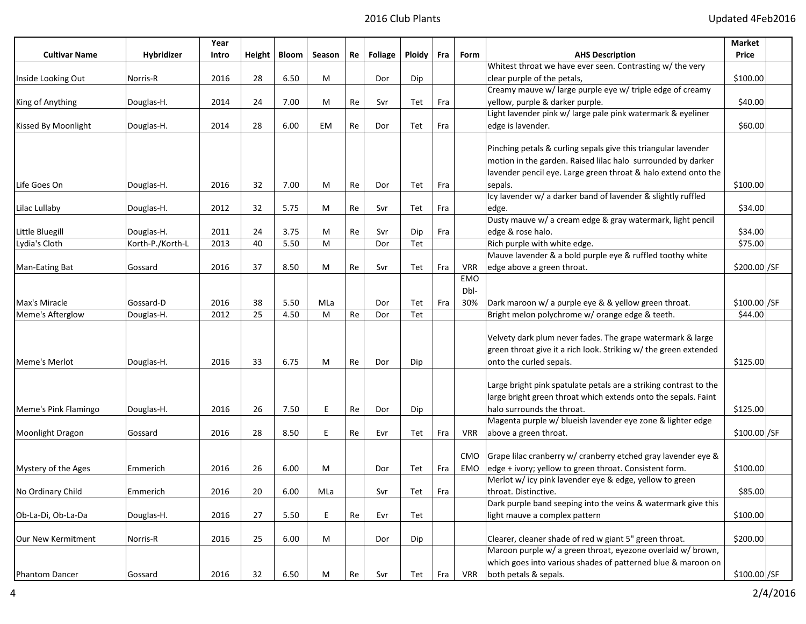|                       |                  | Year  |    |                |        |    |         |        |     |            |                                                                                       | Market        |
|-----------------------|------------------|-------|----|----------------|--------|----|---------|--------|-----|------------|---------------------------------------------------------------------------------------|---------------|
| <b>Cultivar Name</b>  | Hybridizer       | Intro |    | Height   Bloom | Season | Re | Foliage | Ploidy | Fra | Form       | <b>AHS Description</b>                                                                | Price         |
|                       |                  |       |    |                |        |    |         |        |     |            | Whitest throat we have ever seen. Contrasting w/ the very                             |               |
| Inside Looking Out    | Norris-R         | 2016  | 28 | 6.50           | м      |    | Dor     | Dip    |     |            | clear purple of the petals,                                                           | \$100.00      |
|                       |                  |       |    |                |        |    |         |        |     |            | Creamy mauve w/ large purple eye w/ triple edge of creamy                             |               |
| King of Anything      | Douglas-H.       | 2014  | 24 | 7.00           | М      | Re | Svr     | Tet    | Fra |            | yellow, purple & darker purple.                                                       | \$40.00       |
|                       |                  |       |    |                |        |    |         |        |     |            | Light lavender pink w/ large pale pink watermark & eyeliner                           |               |
| Kissed By Moonlight   | Douglas-H.       | 2014  | 28 | 6.00           | EM     | Re | Dor     | Tet    | Fra |            | edge is lavender.                                                                     | \$60.00       |
|                       |                  |       |    |                |        |    |         |        |     |            |                                                                                       |               |
|                       |                  |       |    |                |        |    |         |        |     |            | Pinching petals & curling sepals give this triangular lavender                        |               |
|                       |                  |       |    |                |        |    |         |        |     |            | motion in the garden. Raised lilac halo surrounded by darker                          |               |
|                       |                  |       |    |                |        |    |         |        |     |            | lavender pencil eye. Large green throat & halo extend onto the                        |               |
| Life Goes On          | Douglas-H.       | 2016  | 32 | 7.00           | М      | Re | Dor     | Tet    | Fra |            | sepals.                                                                               | \$100.00      |
|                       |                  |       |    |                |        |    |         |        |     |            | Icy lavender w/ a darker band of lavender & slightly ruffled                          |               |
| Lilac Lullaby         | Douglas-H.       | 2012  | 32 | 5.75           | M      | Re | Svr     | Tet    | Fra |            | edge.                                                                                 | \$34.00       |
|                       |                  |       |    |                |        |    |         |        |     |            | Dusty mauve w/ a cream edge & gray watermark, light pencil                            |               |
| Little Bluegill       | Douglas-H.       | 2011  | 24 | 3.75           | М      | Re | Svr     | Dip    | Fra |            | edge & rose halo.                                                                     | \$34.00       |
| Lydia's Cloth         | Korth-P./Korth-L | 2013  | 40 | 5.50           | M      |    | Dor     | Tet    |     |            | Rich purple with white edge.                                                          | \$75.00       |
|                       |                  |       |    |                |        |    |         |        |     |            | Mauve lavender & a bold purple eye & ruffled toothy white                             |               |
| Man-Eating Bat        | Gossard          | 2016  | 37 | 8.50           | M      | Re | Svr     | Tet    | Fra | <b>VRR</b> | edge above a green throat.                                                            | \$200.00 / SF |
|                       |                  |       |    |                |        |    |         |        |     | <b>EMO</b> |                                                                                       |               |
|                       |                  |       |    |                |        |    |         |        |     | Dbl-       |                                                                                       |               |
| Max's Miracle         | Gossard-D        | 2016  | 38 | 5.50           | MLa    |    | Dor     | Tet    | Fra | 30%        | Dark maroon w/ a purple eye & & yellow green throat.                                  | \$100.00 / SF |
| Meme's Afterglow      | Douglas-H.       | 2012  | 25 | 4.50           | M      | Re | Dor     | Tet    |     |            | Bright melon polychrome w/ orange edge & teeth.                                       | \$44.00       |
|                       |                  |       |    |                |        |    |         |        |     |            |                                                                                       |               |
|                       |                  |       |    |                |        |    |         |        |     |            | Velvety dark plum never fades. The grape watermark & large                            |               |
|                       |                  |       |    |                |        |    |         |        |     |            | green throat give it a rich look. Striking w/ the green extended                      |               |
| Meme's Merlot         | Douglas-H.       | 2016  | 33 | 6.75           | М      | Re | Dor     | Dip    |     |            | onto the curled sepals.                                                               | \$125.00      |
|                       |                  |       |    |                |        |    |         |        |     |            |                                                                                       |               |
|                       |                  |       |    |                |        |    |         |        |     |            | Large bright pink spatulate petals are a striking contrast to the                     |               |
|                       |                  |       |    |                |        |    |         |        |     |            | large bright green throat which extends onto the sepals. Faint                        |               |
| Meme's Pink Flamingo  | Douglas-H.       | 2016  | 26 | 7.50           | E.     | Re | Dor     | Dip    |     |            | halo surrounds the throat.                                                            | \$125.00      |
|                       |                  |       |    |                |        |    |         |        |     |            | Magenta purple w/ blueish lavender eye zone & lighter edge                            |               |
| Moonlight Dragon      | Gossard          | 2016  | 28 | 8.50           | E.     | Re | Evr     | Tet    | Fra | VRR        | above a green throat.                                                                 | \$100.00]/SF  |
|                       |                  |       |    |                |        |    |         |        |     |            |                                                                                       |               |
|                       |                  |       |    |                |        |    |         |        |     | CMO        | Grape lilac cranberry w/ cranberry etched gray lavender eye &                         |               |
| Mystery of the Ages   | Emmerich         | 2016  | 26 | 6.00           | M      |    | Dor     | Tet    | Fra | EMO        | edge + ivory; yellow to green throat. Consistent form.                                | \$100.00      |
|                       |                  |       |    |                |        |    |         |        |     |            | Merlot w/ icy pink lavender eye & edge, yellow to green                               |               |
| No Ordinary Child     | Emmerich         | 2016  | 20 | 6.00           | MLa    |    | Svr     | Tet    | Fra |            | throat. Distinctive.<br>Dark purple band seeping into the veins & watermark give this | \$85.00       |
| Ob-La-Di. Ob-La-Da    | Douglas-H.       | 2016  | 27 |                | E.     |    |         |        |     |            |                                                                                       | \$100.00      |
|                       |                  |       |    | 5.50           |        | Re | Evr     | Tet    |     |            | light mauve a complex pattern                                                         |               |
|                       |                  |       |    |                |        |    |         |        |     |            | Clearer, cleaner shade of red w giant 5" green throat.                                | \$200.00      |
| Our New Kermitment    | Norris-R         | 2016  | 25 | 6.00           | M      |    | Dor     | Dip    |     |            | Maroon purple w/ a green throat, eyezone overlaid w/ brown,                           |               |
|                       |                  |       |    |                |        |    |         |        |     |            | which goes into various shades of patterned blue & maroon on                          |               |
| <b>Phantom Dancer</b> | Gossard          | 2016  | 32 | 6.50           | M      | Re | Svr     | Tet    | Fra | VRR        | both petals & sepals.                                                                 | \$100.00 / SF |
|                       |                  |       |    |                |        |    |         |        |     |            |                                                                                       |               |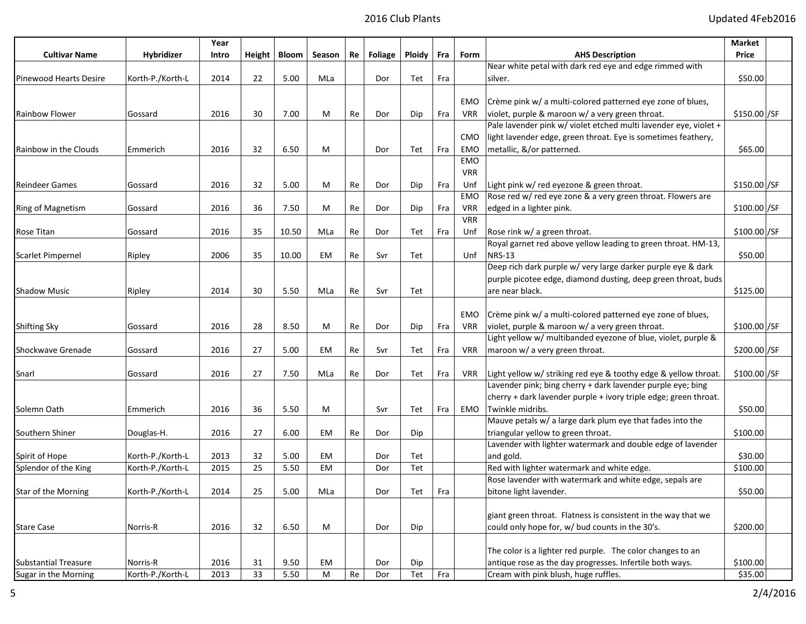|                               |                  | Year  |    |                |        |    |         |               |     |            |                                                                  | Market        |  |
|-------------------------------|------------------|-------|----|----------------|--------|----|---------|---------------|-----|------------|------------------------------------------------------------------|---------------|--|
| <b>Cultivar Name</b>          | Hybridizer       | Intro |    | Height   Bloom | Season | Re | Foliage | <b>Ploidy</b> | Fra | Form       | <b>AHS Description</b>                                           | Price         |  |
|                               |                  |       |    |                |        |    |         |               |     |            | Near white petal with dark red eye and edge rimmed with          |               |  |
| <b>Pinewood Hearts Desire</b> | Korth-P./Korth-L | 2014  | 22 | 5.00           | MLa    |    | Dor     | Tet           | Fra |            | silver.                                                          | \$50.00       |  |
|                               |                  |       |    |                |        |    |         |               |     |            |                                                                  |               |  |
|                               |                  |       |    |                |        |    |         |               |     | <b>EMO</b> | Crème pink w/ a multi-colored patterned eye zone of blues,       |               |  |
| Rainbow Flower                | Gossard          | 2016  | 30 | 7.00           | M      | Re | Dor     | Dip           | Fra | <b>VRR</b> | violet, purple & maroon w/ a very green throat.                  | \$150.00 / SF |  |
|                               |                  |       |    |                |        |    |         |               |     |            | Pale lavender pink w/ violet etched multi lavender eye, violet + |               |  |
|                               |                  |       |    |                |        |    |         |               |     | <b>CMO</b> | light lavender edge, green throat. Eye is sometimes feathery,    |               |  |
| Rainbow in the Clouds         | Emmerich         | 2016  | 32 | 6.50           | М      |    | Dor     | Tet           | Fra | EMO        | metallic, &/or patterned.                                        | \$65.00       |  |
|                               |                  |       |    |                |        |    |         |               |     | <b>EMO</b> |                                                                  |               |  |
|                               |                  |       |    |                |        |    |         |               |     | <b>VRR</b> |                                                                  |               |  |
| <b>Reindeer Games</b>         | Gossard          | 2016  | 32 | 5.00           | М      | Re | Dor     | Dip           | Fra | Unf        | Light pink w/ red eyezone & green throat.                        | $$150.00$ /SF |  |
|                               |                  |       |    |                |        |    |         |               |     | <b>EMO</b> | Rose red w/ red eye zone & a very green throat. Flowers are      |               |  |
| Ring of Magnetism             | Gossard          | 2016  | 36 | 7.50           | М      | Re | Dor     | Dip           | Fra | <b>VRR</b> | edged in a lighter pink.                                         | \$100.00 / SF |  |
|                               |                  |       |    |                |        |    |         |               |     | <b>VRR</b> |                                                                  |               |  |
| Rose Titan                    | Gossard          | 2016  | 35 | 10.50          | MLa    | Re | Dor     | Tet           | Fra | Unf        | Rose rink w/ a green throat.                                     | \$100.00 / SF |  |
|                               |                  |       |    |                |        |    |         |               |     |            | Royal garnet red above yellow leading to green throat. HM-13,    |               |  |
| <b>Scarlet Pimpernel</b>      | Ripley           | 2006  | 35 | 10.00          | EM     | Re | Svr     | Tet           |     | Unf        | <b>NRS-13</b>                                                    | \$50.00       |  |
|                               |                  |       |    |                |        |    |         |               |     |            | Deep rich dark purple w/ very large darker purple eye & dark     |               |  |
|                               |                  |       |    |                |        |    |         |               |     |            | purple picotee edge, diamond dusting, deep green throat, buds    |               |  |
| Shadow Music                  | Ripley           | 2014  | 30 | 5.50           | MLa    | Re | Svr     | Tet           |     |            | are near black.                                                  | \$125.00      |  |
|                               |                  |       |    |                |        |    |         |               |     |            |                                                                  |               |  |
|                               |                  |       |    |                |        |    |         |               |     | EMO        | Crème pink w/ a multi-colored patterned eye zone of blues,       |               |  |
| <b>Shifting Sky</b>           | Gossard          | 2016  | 28 | 8.50           | M      | Re | Dor     | Dip           | Fra | <b>VRR</b> | violet, purple & maroon w/ a very green throat.                  | \$100.00]/SF  |  |
|                               |                  |       |    |                |        |    |         |               |     |            | Light yellow w/ multibanded eyezone of blue, violet, purple &    |               |  |
| Shockwave Grenade             | Gossard          | 2016  | 27 | 5.00           | EM     | Re | Svr     | Tet           | Fra | <b>VRR</b> | maroon w/ a very green throat.                                   | \$200.00 / SF |  |
|                               |                  |       |    |                |        |    |         |               |     |            |                                                                  |               |  |
| Snarl                         | Gossard          | 2016  | 27 | 7.50           | MLa    | Re | Dor     | Tet           | Fra | <b>VRR</b> | Light yellow w/ striking red eye & toothy edge & yellow throat.  | $$100.00$ /SF |  |
|                               |                  |       |    |                |        |    |         |               |     |            | Lavender pink; bing cherry + dark lavender purple eye; bing      |               |  |
|                               |                  |       |    |                |        |    |         |               |     |            | cherry + dark lavender purple + ivory triple edge; green throat. |               |  |
| Solemn Oath                   | Emmerich         | 2016  | 36 | 5.50           | M      |    | Svr     | Tet           | Fra | EMO        | Twinkle midribs.                                                 | \$50.00       |  |
|                               |                  |       |    |                |        |    |         |               |     |            | Mauve petals w/ a large dark plum eye that fades into the        |               |  |
| Southern Shiner               | Douglas-H.       | 2016  | 27 | 6.00           | EМ     | Re | Dor     | Dip           |     |            | triangular yellow to green throat.                               | \$100.00      |  |
|                               |                  |       |    |                |        |    |         |               |     |            | Lavender with lighter watermark and double edge of lavender      |               |  |
| Spirit of Hope                | Korth-P./Korth-L | 2013  | 32 | 5.00           | EМ     |    | Dor     | Tet           |     |            | and gold.                                                        | \$30.00       |  |
| Splendor of the King          | Korth-P./Korth-L | 2015  | 25 | 5.50           | EM     |    | Dor     | Tet           |     |            | Red with lighter watermark and white edge.                       | \$100.00      |  |
|                               |                  |       |    |                |        |    |         |               |     |            | Rose lavender with watermark and white edge, sepals are          |               |  |
| Star of the Morning           | Korth-P./Korth-L | 2014  | 25 | 5.00           | MLa    |    | Dor     | Tet           | Fra |            | bitone light lavender.                                           | \$50.00       |  |
|                               |                  |       |    |                |        |    |         |               |     |            |                                                                  |               |  |
|                               |                  |       |    |                |        |    |         |               |     |            | giant green throat. Flatness is consistent in the way that we    |               |  |
| <b>Stare Case</b>             | Norris-R         | 2016  | 32 | 6.50           | M      |    | Dor     | Dip           |     |            | could only hope for, w/ bud counts in the 30's.                  | \$200.00      |  |
|                               |                  |       |    |                |        |    |         |               |     |            |                                                                  |               |  |
|                               |                  |       |    |                |        |    |         |               |     |            | The color is a lighter red purple. The color changes to an       |               |  |
| <b>Substantial Treasure</b>   | Norris-R         | 2016  | 31 | 9.50           | EM     |    | Dor     | Dip           |     |            | antique rose as the day progresses. Infertile both ways.         | \$100.00      |  |
| Sugar in the Morning          | Korth-P./Korth-L | 2013  | 33 | 5.50           | M      | Re | Dor     | Tet           | Fra |            | Cream with pink blush, huge ruffles.                             | \$35.00       |  |